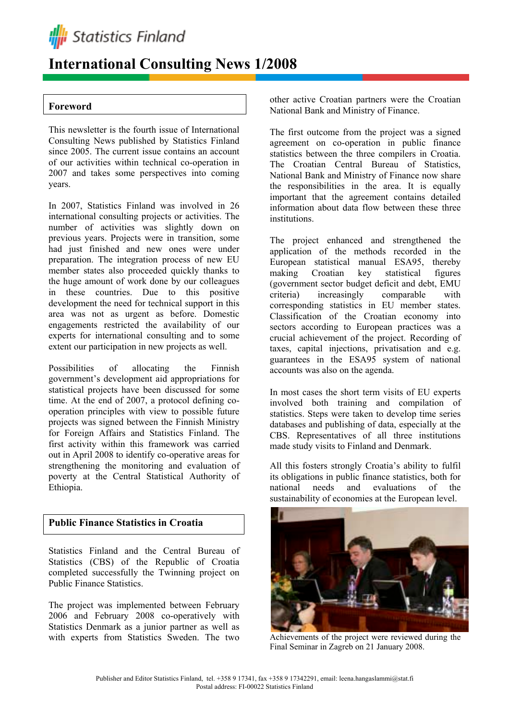

# **International Consulting News 1/2008**

### **Foreword**

This newsletter is the fourth issue of International Consulting News published by Statistics Finland since 2005. The current issue contains an account of our activities within technical co-operation in 2007 and takes some perspectives into coming years.

In 2007, Statistics Finland was involved in 26 international consulting projects or activities. The number of activities was slightly down on previous years. Projects were in transition, some had just finished and new ones were under preparation. The integration process of new EU member states also proceeded quickly thanks to the huge amount of work done by our colleagues in these countries. Due to this positive development the need for technical support in this area was not as urgent as before. Domestic engagements restricted the availability of our experts for international consulting and to some extent our participation in new projects as well.

Possibilities of allocating the Finnish government's development aid appropriations for statistical projects have been discussed for some time. At the end of 2007, a protocol defining cooperation principles with view to possible future projects was signed between the Finnish Ministry for Foreign Affairs and Statistics Finland. The first activity within this framework was carried out in April 2008 to identify co-operative areas for strengthening the monitoring and evaluation of poverty at the Central Statistical Authority of Ethiopia.

# **Public Finance Statistics in Croatia**

Statistics Finland and the Central Bureau of Statistics (CBS) of the Republic of Croatia completed successfully the Twinning project on Public Finance Statistics.

The project was implemented between February 2006 and February 2008 co-operatively with Statistics Denmark as a junior partner as well as with experts from Statistics Sweden. The two

other active Croatian partners were the Croatian National Bank and Ministry of Finance.

The first outcome from the project was a signed agreement on co-operation in public finance statistics between the three compilers in Croatia. The Croatian Central Bureau of Statistics, National Bank and Ministry of Finance now share the responsibilities in the area. It is equally important that the agreement contains detailed information about data flow between these three institutions.

The project enhanced and strengthened the application of the methods recorded in the European statistical manual ESA95, thereby making Croatian key statistical figures (government sector budget deficit and debt, EMU criteria) increasingly comparable with corresponding statistics in EU member states. Classification of the Croatian economy into sectors according to European practices was a crucial achievement of the project. Recording of taxes, capital injections, privatisation and e.g. guarantees in the ESA95 system of national accounts was also on the agenda.

In most cases the short term visits of EU experts involved both training and compilation of statistics. Steps were taken to develop time series databases and publishing of data, especially at the CBS. Representatives of all three institutions made study visits to Finland and Denmark.

All this fosters strongly Croatia's ability to fulfil its obligations in public finance statistics, both for national needs and evaluations of the sustainability of economies at the European level.



Achievements of the project were reviewed during the Final Seminar in Zagreb on 21 January 2008.